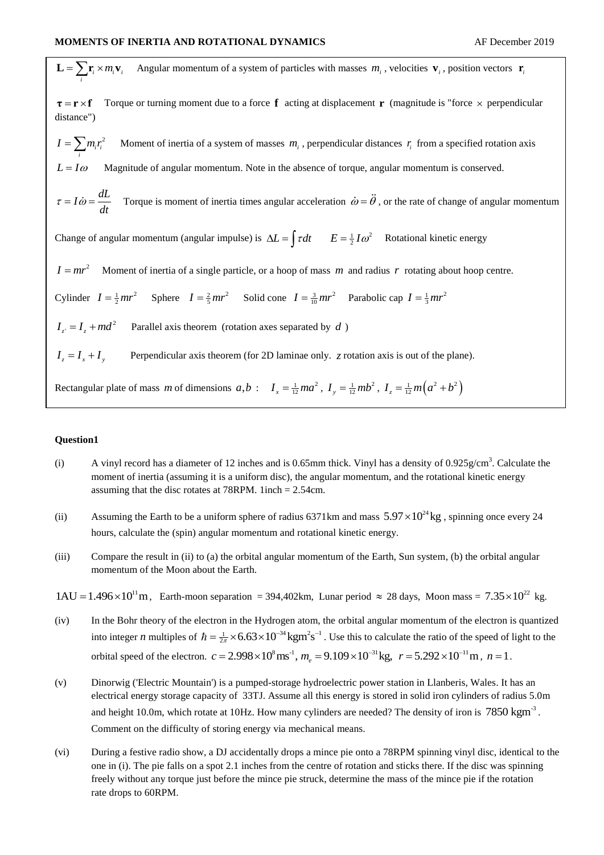$\sum_i \sum_i$  *i*  $m_i$  **i**<sub>i</sub>  $\mathbf{L} = \sum_{i} \mathbf{r}_i \times m_i \mathbf{v}_i$  Angular momentum of a system of particles with masses  $m_i$ , velocities  $\mathbf{v}_i$ , position vectors  $\mathbf{r}_i$ 

 $\tau = \mathbf{r} \times \mathbf{f}$  Torque or turning moment due to a force **f** acting at displacement **r** (magnitude is "force  $\times$  perpendicular distance")

 $I = \sum m_i r_i^2$  Moment of inertia of a system of masses  $m_i$ , perpendicular distances  $r_i$  from a specified rotation axis

 $L = I\omega$  Magnitude of angular momentum. Note in the absence of torque, angular momentum is conserved.

 $I\dot{\omega} = \frac{dL}{dt}$ *dt*  $\tau = I\dot{\omega} = \frac{dZ}{dt}$  Torque is moment of inertia times angular acceleration  $\dot{\omega} = \dot{\theta}$ , or the rate of change of angular momentum

Change of angular momentum (angular impulse) is  $\Delta L = \int \tau dt$   $E = \frac{1}{2}I\omega^2$  Rotational kinetic energy

 $I = mr^2$  Moment of inertia of a single particle, or a hoop of mass m and radius r rotating about hoop centre.

Cylinder  $I = \frac{1}{2}mr^2$  Sphere  $I = \frac{2}{5}mr^2$  Solid cone  $I = \frac{3}{10}mr^2$  Parabolic cap  $I = \frac{1}{3}mr^2$ 

 $I_z = I_z + md^2$  Parallel axis theorem (rotation axes separated by d)

 $I_z = I_x + I_y$  Perpendicular axis theorem (for 2D laminae only. *z* rotation axis is out of the plane).

Rectangular plate of mass m of dimensions  $a,b$ :  $I_x = \frac{1}{12}ma^2$ ,  $I_y = \frac{1}{12}mb^2$ ,  $I_z = \frac{1}{12}m(a^2 + b^2)$ 

# **Question1**

*i*

- (i) A vinyl record has a diameter of 12 inches and is 0.65mm thick. Vinyl has a density of  $0.925 \text{g/cm}^3$ . Calculate the moment of inertia (assuming it is a uniform disc), the angular momentum, and the rotational kinetic energy assuming that the disc rotates at 78RPM. 1inch = 2.54cm.
- (ii) Assuming the Earth to be a uniform sphere of radius 6371 km and mass  $5.97 \times 10^{24}$  kg, spinning once every 24 hours, calculate the (spin) angular momentum and rotational kinetic energy.
- (iii) Compare the result in (ii) to (a) the orbital angular momentum of the Earth, Sun system, (b) the orbital angular momentum of the Moon about the Earth.
- $1 \text{AU} = 1.496 \times 10^{11} \text{m}$ , Earth-moon separation = 394,402km, Lunar period  $\approx 28$  days, Moon mass =  $7.35 \times 10^{22}$  kg.
- (iv) In the Bohr theory of the electron in the Hydrogen atom, the orbital angular momentum of the electron is quantized into integer *n* multiples of  $\hbar = \frac{1}{2\pi} \times 6.63 \times 10^{-34} \text{ kgm}^2 \text{s}^{-1}$ . Use this to calculate the ratio of the speed of light to the orbital speed of the electron.  $c = 2.998 \times 10^8 \text{ ms}^{-1}$ ,  $m_e = 9.109 \times 10^{-31} \text{ kg}$ orbital speed of the electron.  $c = 2.998 \times 10^8 \text{ ms}^{-1}$ ,  $m_e = 9.109 \times 10^{-31} \text{ kg}$ ,  $r = 5.292 \times 10^{-11} \text{ m}$ ,  $n = 1$ .
- (v) Dinorwig ('Electric Mountain') is a pumped-storage hydroelectric power station in Llanberis, Wales. It has an electrical energy storage capacity of 33TJ. Assume all this energy is stored in solid iron cylinders of radius 5.0m and height 10.0m, which rotate at 10Hz. How many cylinders are needed? The density of iron is  $7850 \text{ kgm}^3$ . Comment on the difficulty of storing energy via mechanical means.
- (vi) During a festive radio show, a DJ accidentally drops a mince pie onto a 78RPM spinning vinyl disc, identical to the one in (i). The pie falls on a spot 2.1 inches from the centre of rotation and sticks there. If the disc was spinning freely without any torque just before the mince pie struck, determine the mass of the mince pie if the rotation rate drops to 60RPM.